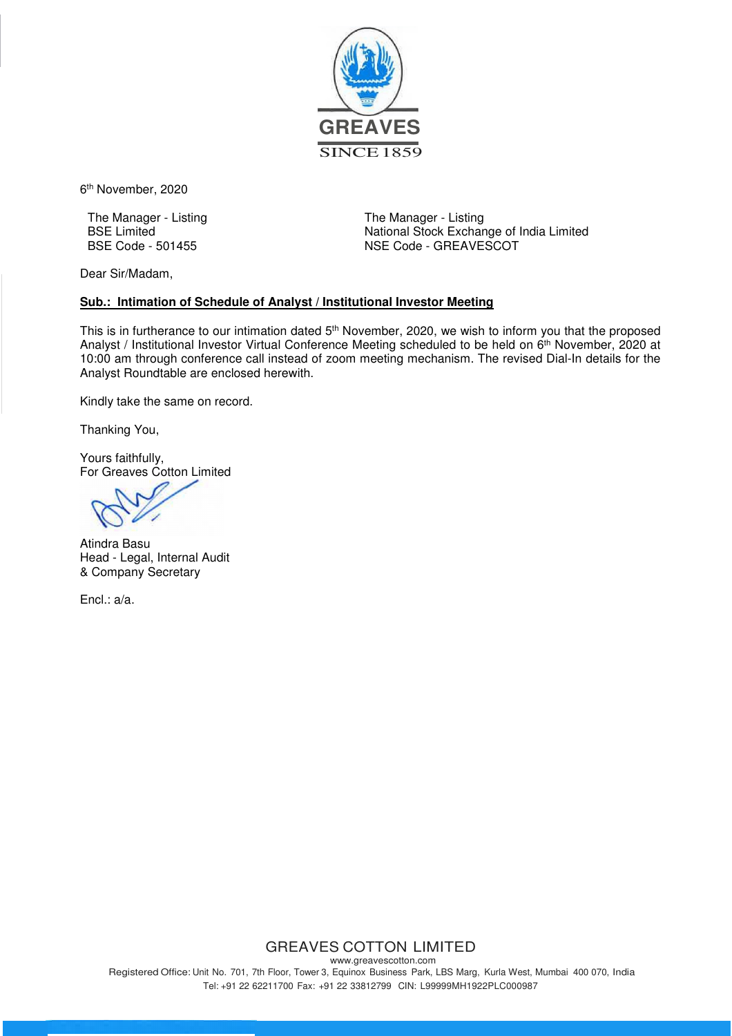

6 th November, 2020

The Manager - Listing BSE Limited BSE Code - 501455

The Manager - Listing National Stock Exchange of India Limited NSE Code - GREAVESCOT

Dear Sir/Madam,

## **Sub.: Intimation of Schedule of Analyst / Institutional Investor Meeting**

This is in furtherance to our intimation dated 5<sup>th</sup> November, 2020, we wish to inform you that the proposed Analyst / Institutional Investor Virtual Conference Meeting scheduled to be held on 6<sup>th</sup> November, 2020 at 10:00 am through conference call instead of zoom meeting mechanism. The revised Dial-In details for the Analyst Roundtable are enclosed herewith.

Kindly take the same on record.

Thanking You,

Yours faithfully, For Greaves Cotton Limited

Atindra Basu Head - Legal, Internal Audit & Company Secretary

Encl.: a/a.

## GREAVES COTTON LIMITED

www.greavescotton.com Registered Office: Unit No. 701, 7th Floor, Tower 3, Equinox Business Park, LBS Marg, Kurla West, Mumbai 400 070, India Tel: +91 22 62211700 Fax: +91 22 33812799 CIN: L99999MH1922PLC000987